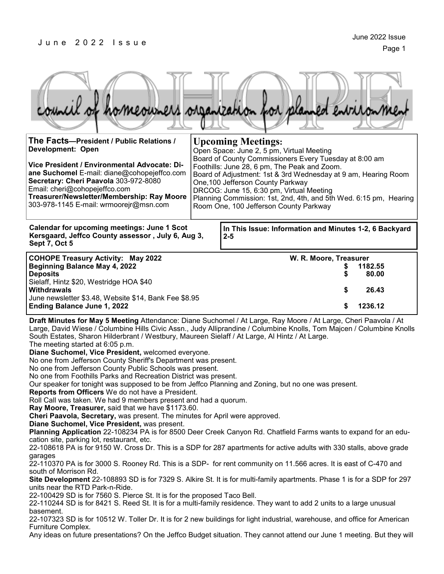#### J u n e 2 0 2 2 I s s u e

| ouncil of homeowners organization of<br>entranon                                                                                                                                                                                                                                                                                                                                                                                                                                                                                                                                                                                                                                                                                                                                                                                                                                                                                                                                                                                                                                                                                                                                                                                                                                                                                                     |                                                                                                                                                                                                                                                                                                                                                                                                                                                    |                                             |                                      |
|------------------------------------------------------------------------------------------------------------------------------------------------------------------------------------------------------------------------------------------------------------------------------------------------------------------------------------------------------------------------------------------------------------------------------------------------------------------------------------------------------------------------------------------------------------------------------------------------------------------------------------------------------------------------------------------------------------------------------------------------------------------------------------------------------------------------------------------------------------------------------------------------------------------------------------------------------------------------------------------------------------------------------------------------------------------------------------------------------------------------------------------------------------------------------------------------------------------------------------------------------------------------------------------------------------------------------------------------------|----------------------------------------------------------------------------------------------------------------------------------------------------------------------------------------------------------------------------------------------------------------------------------------------------------------------------------------------------------------------------------------------------------------------------------------------------|---------------------------------------------|--------------------------------------|
| The Facts-President / Public Relations /<br><b>Development: Open</b><br>Vice President / Environmental Advocate: Di-<br>ane Suchomel E-mail: diane@cohopejeffco.com<br>Secretary: Cheri Paavola 303-972-8080<br>Email: cheri@cohopejeffco.com<br>Treasurer/Newsletter/Membership: Ray Moore<br>303-978-1145 E-mail: wrmoorejr@msn.com                                                                                                                                                                                                                                                                                                                                                                                                                                                                                                                                                                                                                                                                                                                                                                                                                                                                                                                                                                                                                | <b>Upcoming Meetings:</b><br>Open Space: June 2, 5 pm, Virtual Meeting<br>Board of County Commissioners Every Tuesday at 8:00 am<br>Foothills: June 28, 6 pm, The Peak and Zoom.<br>Board of Adjustment: 1st & 3rd Wednesday at 9 am, Hearing Room<br>One, 100 Jefferson County Parkway<br>DRCOG: June 15, 6:30 pm, Virtual Meeting<br>Planning Commission: 1st, 2nd, 4th, and 5th Wed. 6:15 pm, Hearing<br>Room One, 100 Jefferson County Parkway |                                             |                                      |
| <b>Calendar for upcoming meetings: June 1 Scot</b><br>In This Issue: Information and Minutes 1-2, 6 Backyard<br>Kersgaard, Jeffco County assessor, July 6, Aug 3,<br>$2 - 5$<br>Sept 7, Oct 5                                                                                                                                                                                                                                                                                                                                                                                                                                                                                                                                                                                                                                                                                                                                                                                                                                                                                                                                                                                                                                                                                                                                                        |                                                                                                                                                                                                                                                                                                                                                                                                                                                    |                                             |                                      |
| <b>COHOPE Treasury Activity: May 2022</b><br><b>Beginning Balance May 4, 2022</b><br><b>Deposits</b><br>Sielaff, Hintz \$20, Westridge HOA \$40<br><b>Withdrawals</b><br>June newsletter \$3.48, Website \$14, Bank Fee \$8.95<br>Ending Balance June 1, 2022                                                                                                                                                                                                                                                                                                                                                                                                                                                                                                                                                                                                                                                                                                                                                                                                                                                                                                                                                                                                                                                                                        |                                                                                                                                                                                                                                                                                                                                                                                                                                                    | W. R. Moore, Treasurer<br>\$<br>S<br>S<br>S | 1182.55<br>80.00<br>26.43<br>1236.12 |
| Draft Minutes for May 5 Meeting Attendance: Diane Suchomel / At Large, Ray Moore / At Large, Cheri Paavola / At<br>Large, David Wiese / Columbine Hills Civic Assn., Judy Alliprandine / Columbine Knolls, Tom Majcen / Columbine Knolls<br>South Estates, Sharon Hilderbrant / Westbury, Maureen Sielaff / At Large, Al Hintz / At Large.<br>The meeting started at 6:05 p.m.<br>Diane Suchomel, Vice President, welcomed everyone.<br>No one from Jefferson County Sheriff's Department was present.<br>No one from Jefferson County Public Schools was present.<br>No one from Foothills Parks and Recreation District was present.<br>Our speaker for tonight was supposed to be from Jeffco Planning and Zoning, but no one was present.<br>Reports from Officers We do not have a President.<br>Roll Call was taken. We had 9 members present and had a quorum.<br>Ray Moore, Treasurer, said that we have \$1173.60.<br>Cheri Paavola, Secretary, was present. The minutes for April were approved.<br>Diane Suchomel, Vice President, was present.<br>Planning Application 22-108234 PA is for 8500 Deer Creek Canyon Rd. Chatfield Farms wants to expand for an edu-<br>cation site, parking lot, restaurant, etc.<br>22-108618 PA is for 9150 W. Cross Dr. This is a SDP for 287 apartments for active adults with 330 stalls, above grade |                                                                                                                                                                                                                                                                                                                                                                                                                                                    |                                             |                                      |

garages

22-110370 PA is for 3000 S. Rooney Rd. This is a SDP- for rent community on 11.566 acres. It is east of C-470 and south of Morrison Rd.

**Site Development** 22-108893 SD is for 7329 S. Alkire St. It is for multi-family apartments. Phase 1 is for a SDP for 297 units near the RTD Park-n-Ride.

22-100429 SD is for 7560 S. Pierce St. It is for the proposed Taco Bell.

22-110244 SD is for 8421 S. Reed St. It is for a multi-family residence. They want to add 2 units to a large unusual basement.

22-107323 SD is for 10512 W. Toller Dr. It is for 2 new buildings for light industrial, warehouse, and office for American Furniture Complex.

Any ideas on future presentations? On the Jeffco Budget situation. They cannot attend our June 1 meeting. But they will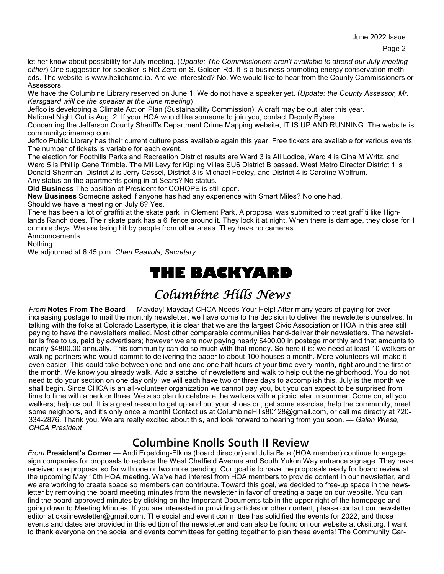let her know about possibility for July meeting. (*Update: The Commissioners aren't available to attend our July meeting either*) One suggestion for speaker is Net Zero on S. Golden Rd. It is a business promoting energy conservation methods. The website is www.heliohome.io. Are we interested? No. We would like to hear from the County Commissioners or Assessors.

We have the Columbine Library reserved on June 1. We do not have a speaker yet. (*Update: the County Assessor, Mr. Kersgaard wiill be the speaker at the June meeting*)

Jeffco is developing a Climate Action Plan (Sustainability Commission). A draft may be out later this year.

National Night Out is Aug. 2. If your HOA would like someone to join you, contact Deputy Bybee.

Concerning the Jefferson County Sheriff's Department Crime Mapping website, IT IS UP AND RUNNING. The website is communitycrimemap.com.

Jeffco Public Library has their current culture pass available again this year. Free tickets are available for various events. The number of tickets is variable for each event.

The election for Foothills Parks and Recreation District results are Ward 3 is Ali Lodice, Ward 4 is Gina M Writz, and Ward 5 is Phillip Gene Trimble. The Mil Levy for Kipling Villas SU6 District B passed. West Metro Director District 1 is Donald Sherman, District 2 is Jerry Cassel, District 3 is Michael Feeley, and District 4 is Caroline Wolfrum. Any status on the apartments going in at Sears? No status.

**Old Business** The position of President for COHOPE is still open.

**New Business** Someone asked if anyone has had any experience with Smart Miles? No one had.

Should we have a meeting on July 6? Yes.

There has been a lot of graffiti at the skate park in Clement Park. A proposal was submitted to treat graffiti like Highlands Ranch does. Their skate park has a 6' fence around it. They lock it at night, When there is damage, they close for 1 or more days. We are being hit by people from other areas. They have no cameras.

**Announcements** 

Nothing.

We adjourned at 6:45 p.m. *Cheri Paavola, Secretary*

## **THE BACKYARD**

## *Columbine Hills News*

*From* **Notes From The Board** — Mayday! Mayday! CHCA Needs Your Help! After many years of paying for everincreasing postage to mail the monthly newsletter, we have come to the decision to deliver the newsletters ourselves. In talking with the folks at Colorado Lasertype, it is clear that we are the largest Civic Association or HOA in this area still paying to have the newsletters mailed. Most other comparable communities hand-deliver their newsletters. The newsletter is free to us, paid by advertisers; however we are now paying nearly \$400.00 in postage monthly and that amounts to nearly \$4800.00 annually. This community can do so much with that money. So here it is: we need at least 10 walkers or walking partners who would commit to delivering the paper to about 100 houses a month. More volunteers will make it even easier. This could take between one and one and one half hours of your time every month, right around the first of the month. We know you already walk. Add a satchel of newsletters and walk to help out the neighborhood. You do not need to do your section on one day only; we will each have two or three days to accomplish this. July is the month we shall begin. Since CHCA is an all-volunteer organization we cannot pay you, but you can expect to be surprised from time to time with a perk or three. We also plan to celebrate the walkers with a picnic later in summer. Come on, all you walkers; help us out. It is a great reason to get up and put your shoes on, get some exercise, help the community, meet some neighbors, and it's only once a month! Contact us at ColumbineHills80128@gmail.com, or call me directly at 720-334-2876. Thank you. We are really excited about this, and look forward to hearing from you soon. — *Galen Wiese, CHCA President* 

### **Columbine Knolls South II Review**

*From* **President's Corner** — Andi Erpelding-Elkins (board director) and Julia Bate (HOA member) continue to engage sign companies for proposals to replace the West Chatfield Avenue and South Yukon Way entrance signage. They have received one proposal so far with one or two more pending. Our goal is to have the proposals ready for board review at the upcoming May 10th HOA meeting. We've had interest from HOA members to provide content in our newsletter, and we are working to create space so members can contribute. Toward this goal, we decided to free-up space in the newsletter by removing the board meeting minutes from the newsletter in favor of creating a page on our website. You can find the board-approved minutes by clicking on the Important Documents tab in the upper right of the homepage and going down to Meeting Minutes. If you are interested in providing articles or other content, please contact our newsletter editor at cksiinewsletter@gmail.com. The social and event committee has solidified the events for 2022, and those events and dates are provided in this edition of the newsletter and can also be found on our website at cksii.org. I want to thank everyone on the social and events committees for getting together to plan these events! The Community Gar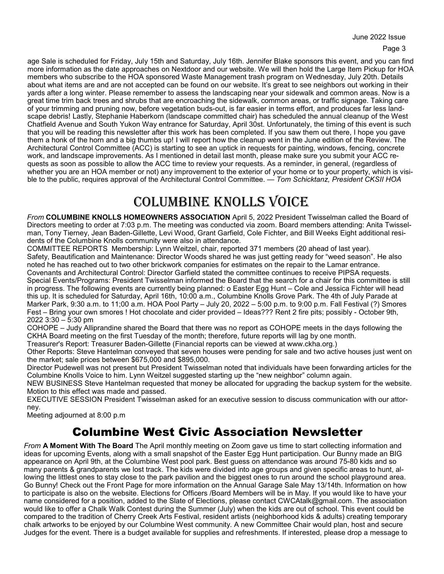age Sale is scheduled for Friday, July 15th and Saturday, July 16th. Jennifer Blake sponsors this event, and you can find more information as the date approaches on Nextdoor and our website. We will then hold the Large Item Pickup for HOA members who subscribe to the HOA sponsored Waste Management trash program on Wednesday, July 20th. Details about what items are and are not accepted can be found on our website. It's great to see neighbors out working in their yards after a long winter. Please remember to assess the landscaping near your sidewalk and common areas. Now is a great time trim back trees and shrubs that are encroaching the sidewalk, common areas, or traffic signage. Taking care of your trimming and pruning now, before vegetation buds-out, is far easier in terms effort, and produces far less landscape debris! Lastly, Stephanie Haberkorn (landscape committed chair) has scheduled the annual cleanup of the West Chatfield Avenue and South Yukon Way entrance for Saturday, April 30st. Unfortunately, the timing of this event is such that you will be reading this newsletter after this work has been completed. If you saw them out there, I hope you gave them a honk of the horn and a big thumbs up! I will report how the cleanup went in the June edition of the Review. The Architectural Control Committee (ACC) is starting to see an uptick in requests for painting, windows, fencing, concrete work, and landscape improvements. As I mentioned in detail last month, please make sure you submit your ACC requests as soon as possible to allow the ACC time to review your requests. As a reminder, in general, (regardless of whether you are an HOA member or not) any improvement to the exterior of your home or to your property, which is visible to the public, requires approval of the Architectural Control Committee. *— Tom Schicktanz, President CKSII HOA*

# Columbine Knolls VoiCe

*From* **COLUMBINE KNOLLS HOMEOWNERS ASSOCIATION** April 5, 2022 President Twisselman called the Board of Directors meeting to order at 7:03 p.m. The meeting was conducted via zoom. Board members attending: Anita Twisselman, Tony Tierney, Jean Baden-Gillette, Levi Wood, Grant Garfield, Cole Fichter, and Bill Weeks Eight additional residents of the Columbine Knolls community were also in attendance.

COMMITTEE REPORTS Membership: Lynn Weitzel, chair, reported 371 members (20 ahead of last year). Safety, Beautification and Maintenance: Director Woods shared he was just getting ready for "weed season". He also noted he has reached out to two other brickwork companies for estimates on the repair to the Lamar entrance. Covenants and Architectural Control: Director Garfield stated the committee continues to receive PIPSA requests. Special Events/Programs: President Twisselman informed the Board that the search for a chair for this committee is still in progress. The following events are currently being planned: o Easter Egg Hunt – Cole and Jessica Fichter will head this up. It is scheduled for Saturday, April 16th, 10:00 a.m., Columbine Knolls Grove Park. The 4th of July Parade at Marker Park, 9:30 a.m. to 11;00 a.m. HOA Pool Party – July 20, 2022 – 5:00 p.m. to 9:00 p.m. Fall Festival (?) Smores Fest – Bring your own smores ! Hot chocolate and cider provided – Ideas??? Rent 2 fire pits; possibly - October 9th, 2022 3:30 – 5:30 pm

COHOPE – Judy Alliprandine shared the Board that there was no report as COHOPE meets in the days following the CKHA Board meeting on the first Tuesday of the month; therefore, future reports will lag by one month.

Treasurer's Report: Treasurer Baden-Gillette (Financial reports can be viewed at www.ckha.org.) Other Reports: Steve Hantelman conveyed that seven houses were pending for sale and two active houses just went on

the market; sale prices between \$675,000 and \$895,000. Director Pudewell was not present but President Twisselman noted that individuals have been forwarding articles for the

Columbine Knolls Voice to him. Lynn Weitzel suggested starting up the "new neighbor" column again. NEW BUSINESS Steve Hantelman requested that money be allocated for upgrading the backup system for the website. Motion to this effect was made and passed.

EXECUTIVE SESSION President Twisselman asked for an executive session to discuss communication with our attorney.

Meeting adjourned at 8:00 p.m

## Columbine West Civic Association Newsletter

*From* **A Moment With The Board** The April monthly meeting on Zoom gave us time to start collecting information and ideas for upcoming Events, along with a small snapshot of the Easter Egg Hunt participation. Our Bunny made an BIG appearance on April 9th, at the Columbine West pool park. Best guess on attendance was around 75-80 kids and so many parents & grandparents we lost track. The kids were divided into age groups and given specific areas to hunt, allowing the littlest ones to stay close to the park pavilion and the biggest ones to run around the school playground area. Go Bunny! Check out the Front Page for more information on the Annual Garage Sale May 13/14th. Information on how to participate is also on the website. Elections for Officers /Board Members will be in May. If you would like to have your name considered for a position, added to the Slate of Elections, please contact CWCAtalk@gmail.com. The association would like to offer a Chalk Walk Contest during the Summer (July) when the kids are out of school. This event could be compared to the tradition of Cherry Creek Arts Festival, resident artists (neighborhood kids & adults) creating temporary chalk artworks to be enjoyed by our Columbine West community. A new Committee Chair would plan, host and secure Judges for the event. There is a budget available for supplies and refreshments. If interested, please drop a message to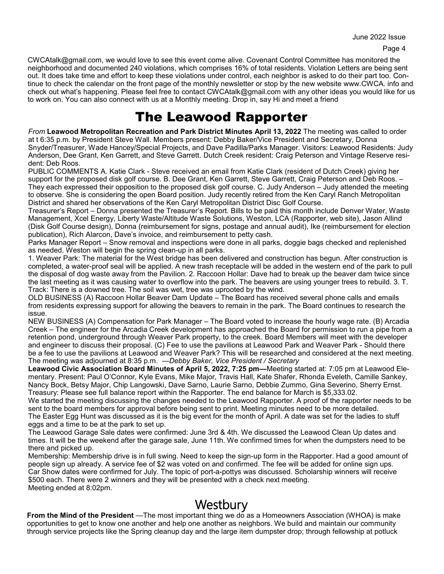CWCAtalk@gmail.com, we would love to see this event come alive. Covenant Control Committee has monitored the neighborhood and documented 240 violations, which comprises 16% of total residents. Violation Letters are being sent out. It does take time and effort to keep these violations under control, each neighbor is asked to do their part too. Continue to check the calendar on the front page of the monthly newsletter or stop by the new website www.CWCA. info and check out what's happening. Please feel free to contact CWCAtalk@gmail.com with any other ideas you would like for us to work on. You can also connect with us at a Monthly meeting. Drop in, say Hi and meet a friend

## The Leawood Rapporter

*From* **Leawood Metropolitan Recreation and Park District Minutes April 13, 2022** The meeting was called to order at t 6:35 p.m. by President Steve Wall. Members present: Debby Baker/Vice President and Secretary, Donna Snyder/Treasurer, Wade Hancey/Special Projects, and Dave Padilla/Parks Manager. Visitors: Leawood Residents: Judy Anderson, Dee Grant, Ken Garrett, and Steve Garrett. Dutch Creek resident: Craig Peterson and Vintage Reserve resident: Deb Roos.

PUBLIC COMMENTS A. Katie Clark - Steve received an email from Katie Clark (resident of Dutch Creek) giving her support for the proposed disk golf course. B. Dee Grant, Ken Garrett, Steve Garrett, Craig Peterson and Deb Roos. – They each expressed their opposition to the proposed disk golf course. C. Judy Anderson – Judy attended the meeting to observe. She is considering the open Board position. Judy recently retired from the Ken Caryl Ranch Metropolitan District and shared her observations of the Ken Caryl Metropolitan District Disc Golf Course.

Treasurer's Report – Donna presented the Treasurer's Report. Bills to be paid this month include Denver Water, Waste Management, Xcel Energy, Liberty Waste/Altitude Waste Solutions, Weston, LCA (Rapporter, web site), Jason Allind (Disk Golf Course design), Donna (reimbursement for signs, postage and annual audit), Ike (reimbursement for election publication), Rich Alarcon, Dave's invoice, and reimbursement to petty cash.

Parks Manager Report – Snow removal and inspections were done in all parks, doggie bags checked and replenished as needed. Weston will begin the spring clean-up in all parks.

1. Weaver Park: The material for the West bridge has been delivered and construction has begun. After construction is completed, a water-proof seal will be applied. A new trash receptacle will be added in the western end of the park to pull the disposal of dog waste away from the Pavilion. 2. Raccoon Hollar: Dave had to break up the beaver dam twice since the last meeting as it was causing water to overflow into the park. The beavers are using younger trees to rebuild. 3. T. Track: There is a downed tree. The soil was wet, tree was uprooted by the wind.

OLD BUSINESS (A) Raccoon Hollar Beaver Dam Update – The Board has received several phone calls and emails from residents expressing support for allowing the beavers to remain in the park. The Board continues to research the issue.

NEW BUSINESS (A) Compensation for Park Manager – The Board voted to increase the hourly wage rate. (B) Arcadia Creek – The engineer for the Arcadia Creek development has approached the Board for permission to run a pipe from a retention pond, underground through Weaver Park property, to the creek. Board Members will meet with the developer and engineer to discuss their proposal. (C) Fee to use the pavilions at Leawood Park and Weaver Park - Should there be a fee to use the pavilions at Leawood and Weaver Park? This will be researched and considered at the next meeting. The meeting was adjourned at 8:35 p.m. *—Debby Baker, Vice President / Secretary*

**Leawood Civic Association Board Minutes of April 5, 2022, 7:25 pm—**Meeting started at: 7:05 pm at Leawood Elementary. Present: Paul O'Connor, Kyle Evans, Mike Major, Travis Hall, Kate Shafer, Rhonda Eveleth, Camille Sankey, Nancy Bock, Betsy Major, Chip Langowski, Dave Sarno, Laurie Sarno, Debbie Zummo, Gina Severino, Sherry Ernst. Treasury: Please see full balance report within the Rapporter. The end balance for March is \$5,333.02.

We started the meeting discussing the changes needed to the Leawood Rapporter. A proof of the rapporter needs to be sent to the board members for approval before being sent to print. Meeting minutes need to be more detailed. The Easter Egg Hunt was discussed as it is the big event for the month of April. A date was set for the ladies to stuff eggs and a time to be at the park to set up.

The Leawood Garage Sale dates were confirmed: June 3rd & 4th. We discussed the Leawood Clean Up dates and times. It will be the weekend after the garage sale, June 11th. We confirmed times for when the dumpsters need to be there and picked up.

Membership: Membership drive is in full swing. Need to keep the sign-up form in the Rapporter. Had a good amount of people sign up already. A service fee of \$2 was voted on and confirmed. The fee will be added for online sign ups. Car Show dates were confirmed for July. The topic of port-a-pottys was discussed. Scholarship winners will receive \$500 each. There were 2 winners and they will be presented with a check next meeting. Meeting ended at 8:02pm.

# **Westbury**

**From the Mind of the President** —The most important thing we do as a Homeowners Association (WHOA) is make opportunities to get to know one another and help one another as neighbors. We build and maintain our community through service projects like the Spring cleanup day and the large item dumpster drop; through fellowship at potluck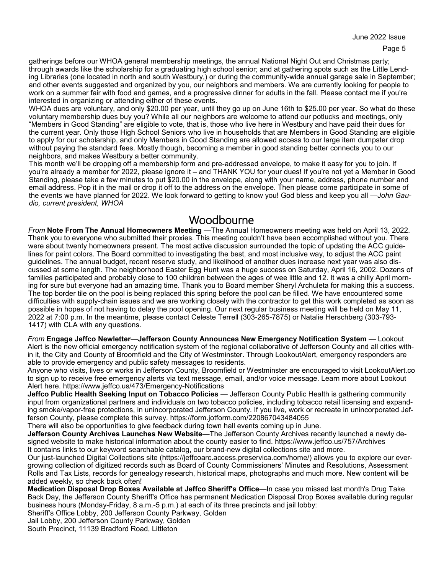gatherings before our WHOA general membership meetings, the annual National Night Out and Christmas party; through awards like the scholarship for a graduating high school senior; and at gathering spots such as the Little Lending Libraries (one located in north and south Westbury,) or during the community-wide annual garage sale in September; and other events suggested and organized by you, our neighbors and members. We are currently looking for people to work on a summer fair with food and games, and a progressive dinner for adults in the fall. Please contact me if you're interested in organizing or attending either of these events.

WHOA dues are voluntary, and only \$20.00 per year, until they go up on June 16th to \$25.00 per year. So what do these voluntary membership dues buy you? While all our neighbors are welcome to attend our potlucks and meetings, only "Members in Good Standing" are eligible to vote, that is, those who live here in Westbury and have paid their dues for the current year. Only those High School Seniors who live in households that are Members in Good Standing are eligible to apply for our scholarship, and only Members in Good Standing are allowed access to our large item dumpster drop without paying the standard fees. Mostly though, becoming a member in good standing better connects you to our neighbors, and makes Westbury a better community.

This month we'll be dropping off a membership form and pre-addressed envelope, to make it easy for you to join. If you're already a member for 2022, please ignore it – and THANK YOU for your dues! If you're not yet a Member in Good Standing, please take a few minutes to put \$20.00 in the envelope, along with your name, address, phone number and email address. Pop it in the mail or drop it off to the address on the envelope. Then please come participate in some of the events we have planned for 2022. We look forward to getting to know you! God bless and keep you all *—John Gaudio, current president, WHOA* 

### Woodbourne

*From* **Note From The Annual Homeowners Meeting** —The Annual Homeowners meeting was held on April 13, 2022. Thank you to everyone who submitted their proxies. This meeting couldn't have been accomplished without you. There were about twenty homeowners present. The most active discussion surrounded the topic of updating the ACC guidelines for paint colors. The Board committed to investigating the best, and most inclusive way, to adjust the ACC paint guidelines. The annual budget, recent reserve study, and likelihood of another dues increase next year was also discussed at some length. The neighborhood Easter Egg Hunt was a huge success on Saturday, April 16, 2002. Dozens of families participated and probably close to 100 children between the ages of wee little and 12. It was a chilly April morning for sure but everyone had an amazing time. Thank you to Board member Sheryl Archuleta for making this a success. The top border tile on the pool is being replaced this spring before the pool can be filled. We have encountered some difficulties with supply-chain issues and we are working closely with the contractor to get this work completed as soon as possible in hopes of not having to delay the pool opening. Our next regular business meeting will be held on May 11, 2022 at 7:00 p.m. In the meantime, please contact Celeste Terrell (303-265-7875) or Natalie Herschberg (303-793- 1417) with CLA with any questions.

*From* **Engage Jeffco Newletter**—**Jefferson County Announces New Emergency Notification System** — Lookout Alert is the new official emergency notification system of the regional collaborative of Jefferson County and all cities within it, the City and County of Broomfield and the City of Westminster. Through LookoutAlert, emergency responders are able to provide emergency and public safety messages to residents.

Anyone who visits, lives or works in Jefferson County, Broomfield or Westminster are encouraged to visit LookoutAlert.co to sign up to receive free emergency alerts via text message, email, and/or voice message. Learn more about Lookout Alert here. https://www.jeffco.us/473/Emergency-Notifications

**Jeffco Public Health Seeking Input on Tobacco Policies** — Jefferson County Public Health is gathering community input from organizational partners and individuals on two tobacco policies, including tobacco retail licensing and expanding smoke/vapor-free protections, in unincorporated Jefferson County. If you live, work or recreate in unincorporated Jefferson County, please complete this survey. https://form.jotform.com/220867043484055

There will also be opportunities to give feedback during town hall events coming up in June.

**Jefferson County Archives Launches New Website**—The Jefferson County Archives recently launched a newly designed website to make historical information about the county easier to find. https://www.jeffco.us/757/Archives It contains links to our keyword searchable catalog, our brand-new digital collections site and more.

Our just-launched Digital Collections site (https://jeffcoarc.access.preservica.com/home/) allows you to explore our evergrowing collection of digitized records such as Board of County Commissioners' Minutes and Resolutions, Assessment Rolls and Tax Lists, records for genealogy research, historical maps, photographs and much more. New content will be added weekly, so check back often!

**Medication Disposal Drop Boxes Available at Jeffco Sheriff's Office**—In case you missed last month's Drug Take Back Day, the Jefferson County Sheriff's Office has permanent Medication Disposal Drop Boxes available during regular business hours (Monday-Friday, 8 a.m.-5 p.m.) at each of its three precincts and jail lobby:

Sheriff's Office Lobby, 200 Jefferson County Parkway, Golden

Jail Lobby, 200 Jefferson County Parkway, Golden

South Precinct, 11139 Bradford Road, Littleton